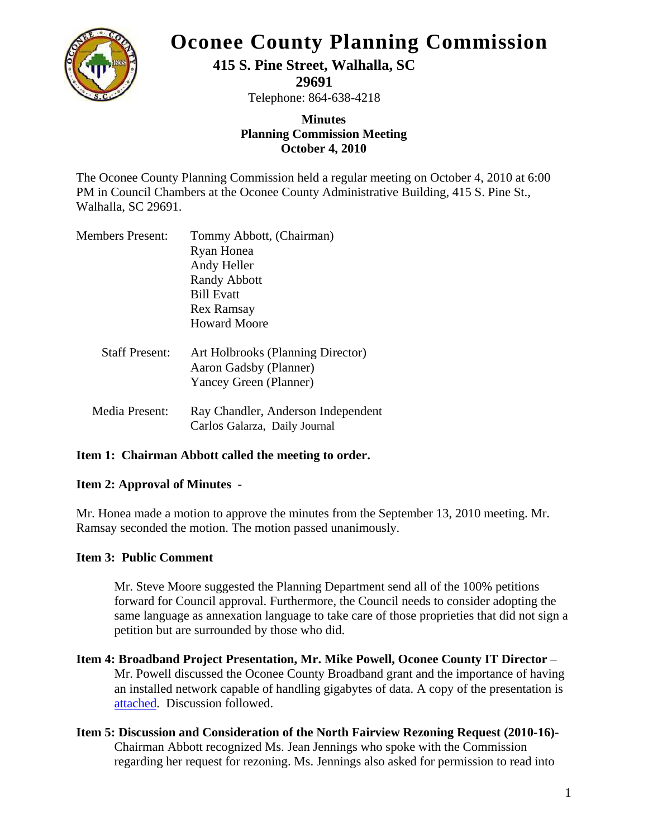

# **Oconee County Planning Commission**

## **415 S. Pine Street, Walhalla, SC**

**29691** 

Telephone: 864-638-4218

### **Minutes Planning Commission Meeting October 4, 2010**

The Oconee County Planning Commission held a regular meeting on October 4, 2010 at 6:00 PM in Council Chambers at the Oconee County Administrative Building, 415 S. Pine St., Walhalla, SC 29691.

| Members Present:      | Tommy Abbott, (Chairman)           |
|-----------------------|------------------------------------|
|                       | Ryan Honea                         |
|                       | Andy Heller                        |
|                       | <b>Randy Abbott</b>                |
|                       | <b>Bill Evatt</b>                  |
|                       | <b>Rex Ramsay</b>                  |
|                       | <b>Howard Moore</b>                |
| <b>Staff Present:</b> | Art Holbrooks (Planning Director)  |
|                       | Aaron Gadsby (Planner)             |
|                       | Yancey Green (Planner)             |
| Media Present:        | Ray Chandler, Anderson Independent |
|                       | Carlos Galarza, Daily Journal      |

### **Item 1: Chairman Abbott called the meeting to order.**

### **Item 2: Approval of Minutes -**

Mr. Honea made a motion to approve the minutes from the September 13, 2010 meeting. Mr. Ramsay seconded the motion. The motion passed unanimously.

#### **Item 3: Public Comment**

Mr. Steve Moore suggested the Planning Department send all of the 100% petitions forward for Council approval. Furthermore, the Council needs to consider adopting the same language as annexation language to take care of those proprieties that did not sign a petition but are surrounded by those who did.

- **Item 4: Broadband Project Presentation, Mr. Mike Powell, Oconee County IT Director** Mr. Powell discussed the Oconee County Broadband grant and the importance of having an installed network capable of handling gigabytes of data. A copy of the presentation is attached. Discussion followed.
- **Item 5: Discussion and Consideration of the North Fairview Rezoning Request (2010-16)-**  Chairman Abbott recognized Ms. Jean Jennings who spoke with the Commission regarding her request for rezoning. Ms. Jennings also asked for permission to read into